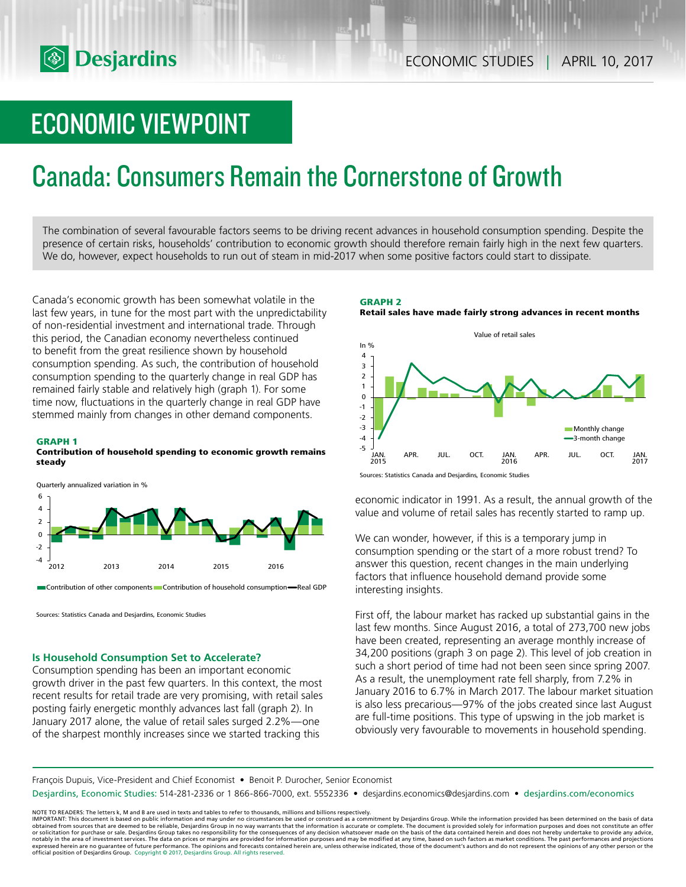# ECONOMIC VIEWPOINT

# Canada: Consumers Remain the Cornerstone of Growth

The combination of several favourable factors seems to be driving recent advances in household consumption spending. Despite the presence of certain risks, households' contribution to economic growth should therefore remain fairly high in the next few quarters. We do, however, expect households to run out of steam in mid-2017 when some positive factors could start to dissipate.

Canada's economic growth has been somewhat volatile in the last few years, in tune for the most part with the unpredictability of non-residential investment and international trade. Through this period, the Canadian economy nevertheless continued to benefit from the great resilience shown by household consumption spending. As such, the contribution of household consumption spending to the quarterly change in real GDP has remained fairly stable and relatively high (graph 1). For some time now, fluctuations in the quarterly change in real GDP have stemmed mainly from changes in other demand components.

#### **GRAPH 1**

#### **Contribution of household spending to economic growth remains steady**



Contribution of other components Contribution of household consumption—Real GDP

Sources: Statistics Canada and Desjardins, Economic Studies

### **Is Household Consumption Set to Accelerate?**

Consumption spending has been an important economic growth driver in the past few quarters. In this context, the most recent results for retail trade are very promising, with retail sales posting fairly energetic monthly advances last fall (graph 2). In January 2017 alone, the value of retail sales surged 2.2%—one of the sharpest monthly increases since we started tracking this

**GRAPH 2 Retail sales have made fairly strong advances in recent months**



Sources: Statistics Canada and Desjardins, Economic Studies

economic indicator in 1991. As a result, the annual growth of the value and volume of retail sales has recently started to ramp up.

We can wonder, however, if this is a temporary jump in consumption spending or the start of a more robust trend? To answer this question, recent changes in the main underlying factors that influence household demand provide some interesting insights.

First off, the labour market has racked up substantial gains in the last few months. Since August 2016, a total of 273,700 new jobs have been created, representing an average monthly increase of 34,200 positions (graph 3 on page 2). This level of job creation in such a short period of time had not been seen since spring 2007. As a result, the unemployment rate fell sharply, from 7.2% in January 2016 to 6.7% in March 2017. The labour market situation is also less precarious—97% of the jobs created since last August are full-time positions. This type of upswing in the job market is obviously very favourable to movements in household spending.

François Dupuis, Vice-President and Chief Economist • Benoit P. Durocher, Senior Economist

Desjardins, Economic Studies: 514-281-2336 or 1 866-866-7000, ext. 5552336 • desjardins.economics@desjardins.com • desjardins.com/economics

NOTE TO READERS: The letters k, M and B are used in texts and tables to refer to thousands, millions and billions respectively.<br>IMPORTANT: This document is based on public information and may under no circumstances be used obtained from sources that are deemed to be reliable, Desjardins Group in no way warrants that the information is accurate or complete. The document is provided solely for information purposes and does not constitute an of expressed herein are no guarantee of future performance. The opinions and forecasts contained herein are, unless otherwise indicated, those of the document's authors and do not represent the opinions of any other person or official position of Desjardins Group. Copyright © 2017, Desjardins Group. All rights reserved.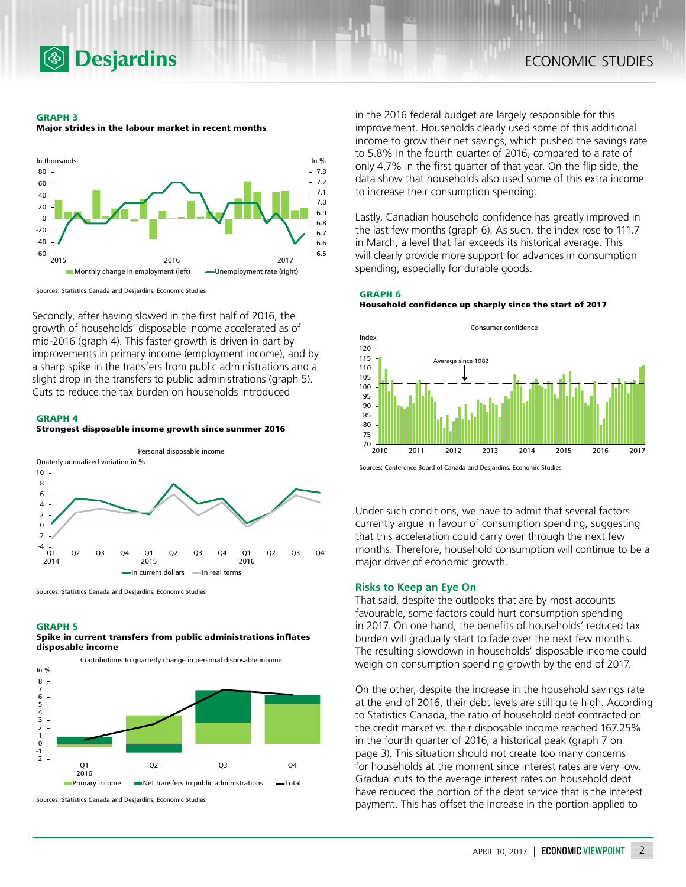

#### **GRAPH 3**

**Major strides in the labour market in recent months**



Sources: Statistics Canada and Desjardins, Economic Studies

Secondly, after having slowed in the first half of 2016, the growth of households' disposable income accelerated as of mid-2016 (graph 4). This faster growth is driven in part by improvements in primary income (employment income), and by a sharp spike in the transfers from public administrations and a slight drop in the transfers to public administrations (graph 5). Cuts to reduce the tax burden on households introduced

#### **GRAPH 4**





Sources: Statistics Canada and Desjardins, Economic Studies

#### **GRAPH 5**

**Spike in current transfers from public administrations inflates disposable income**



Sources: Statistics Canada and Desjardins, Economic Studies

in the 2016 federal budget are largely responsible for this improvement. Households clearly used some of this additional income to grow their net savings, which pushed the savings rate to 5.8% in the fourth quarter of 2016, compared to a rate of only 4.7% in the first quarter of that year. On the flip side, the data show that households also used some of this extra income to increase their consumption spending.

Lastly, Canadian household confidence has greatly improved in the last few months (graph 6). As such, the index rose to 111.7 in March, a level that far exceeds its historical average. This will clearly provide more support for advances in consumption spending, especially for durable goods.

# **GRAPH 6**

**Household confidence up sharply since the start of 2017**





Under such conditions, we have to admit that several factors currently argue in favour of consumption spending, suggesting that this acceleration could carry over through the next few months. Therefore, household consumption will continue to be a major driver of economic growth.

### **Risks to Keep an Eye On**

That said, despite the outlooks that are by most accounts favourable, some factors could hurt consumption spending in 2017. On one hand, the benefits of households' reduced tax burden will gradually start to fade over the next few months. The resulting slowdown in households' disposable income could weigh on consumption spending growth by the end of 2017.

On the other, despite the increase in the household savings rate at the end of 2016, their debt levels are still quite high. According to Statistics Canada, the ratio of household debt contracted on the credit market vs. their disposable income reached 167.25% in the fourth quarter of 2016; a historical peak (graph 7 on page 3). This situation should not create too many concerns for households at the moment since interest rates are very low. Gradual cuts to the average interest rates on household debt have reduced the portion of the debt service that is the interest payment. This has offset the increase in the portion applied to